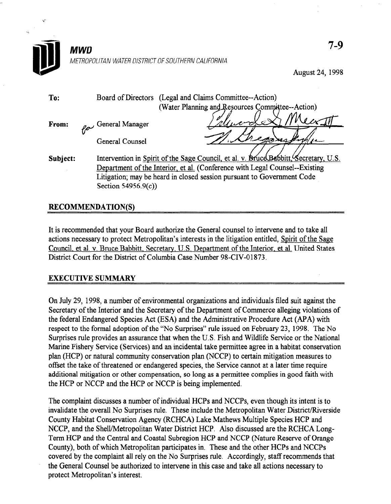

August 24, 1998

| To:      |                                                                                                                                                       |                     | Board of Directors (Legal and Claims Committee--Action) |
|----------|-------------------------------------------------------------------------------------------------------------------------------------------------------|---------------------|---------------------------------------------------------|
|          |                                                                                                                                                       |                     | (Water Planning and Resources Committee--Action)        |
| From:    |                                                                                                                                                       | General Manager     | Mucro                                                   |
|          |                                                                                                                                                       |                     |                                                         |
|          |                                                                                                                                                       |                     |                                                         |
| Subject: | Intervention in Spirit of the Sage Council, et al. v. BruceBabbitt, Secretary, U.S.                                                                   |                     |                                                         |
|          | Department of the Interior, et al. (Conference with Legal Counsel--Existing<br>Litigation; may be heard in closed session pursuant to Government Code |                     |                                                         |
|          |                                                                                                                                                       |                     |                                                         |
|          |                                                                                                                                                       | Section 54956.9(c)) |                                                         |
|          |                                                                                                                                                       | General Counsel     |                                                         |

## **RECOMMENDATION(S)**

It is recommended that your Board authorize the General counsel to intervene and to take all actions necessary to protect Metropolitan's interests in the little of the little of the Santa County of the Santa County of the Santa County of the Santa County of the Santa County of the Santa County of the Santa County actions necessary to protect bien opening s interests in the highlion entitied, **Spirit of the Sage** Council, et al. v. Bruce Babbitt, Secretary, U.S. Department of the Interior, et al. United States District Court for the District of Columbia Case Number 98-CIV-01873.

## EXECUTIVE SUMMARY

On July 29, 1998, a number of environmental organizations and individuals filed suit against the On  $Juy  $\mathscr{L}$ ,  $I\mathscr{D}$ , a number of environmental organizations and mulviquals med suit against the$ Secretary of the Interior and the Secretary of the Department of Commerce alleging violations of the federal Endangered Species Act (ESA) and the Administrative Procedure Act (APA) with respect to the formal adoption of the "No Surprises" rule issued on February 23, 1998. The No Surprises rule provides an assurance that when the U.S. Fish and Wildlife Service or the National Marine Fishery Service (Services) and an incidental take permittee agree in a habitat conservation plan (HCP) or natural community conservation plan (NCCP) to certain mitigation measures to offset the take of threatened or endangered species, the Service cannot at a later time require additional mitigation or other compensation, so long as a permittee complies in good faith with the HCP or NCCP and the HCP or NCCP is being implemented.

The complaint discusses a number of individual HCPs and NCCPs, even though its intent is to invalidate the overall No Surprises rule. These include the Metropolitan Water District/Riverside County Habitat Conservation Agency (RCHCA) Lake Mathews Multiple Species HCP and NCCP, and the Shell/Metropolitan Water District HCP. Also discussed are the RCHCA Long-Term HCP and the Central and Coastal Subregion HCP and NCCP (Nature Reserve of Orange County), both of which Metropolitan participates in. These and the other HCPs and NCCPs covered by the complaint all rely on the No Surprises rule. Accordingly, staff recommends that the General Counsel be authorized to intervene in this case and take all actions necessary to protect Metropolitan's interest.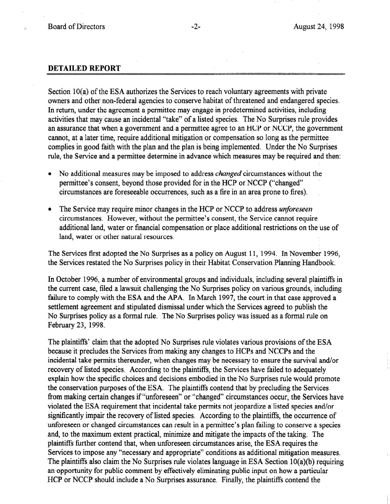## DETAILED REPORT

Section 10(a) of the ESA authorizes the Services to reach voluntary agreements with private owners and other non-federal agencies to conserve habitat of threatened and endangered species. In return, under the agreement a permittee may engage in predetermined activities, including activities that may cause an incidental "take" of a listed species. The No Surprises rule provides an assurance that when a government and a permittee agree to an HCP or NCCP, the government cannot, at a later time, require additional mitigation or compensation so long as the permittee complies in good faith with the plan and the plan is being implemented. Under the No Surprises rule, the Service and a permittee determine in advance which measures may be required and then:

- No additional measures may be imposed to address *changed* circumstances without the permittee's consent, beyond those provided for in the HCP or NCCP ("changed" circumstances are foreseeable occurrences, such as a fire in an area prone to fires).
- The Service may require minor changes in the HCP or NCCP to address *unforeseen* circumstances. However, without the permittee's consent, the Service cannot require additional land, water or financial compensation or place additional restrictions on the use of land, water or other natural resources.

The Services first adopted the No Surprises as a policy on August 11, 1994. In November 1996, the Services restated the No Surprises policy in their Habitat Conservation Planning Handbook.

In October 1996, a number of environmental groups and individuals, including several plaintiffs in the current case, filed a lawsuit challenging the No Surprises policy on various grounds, including failure to comply with the ESA and the APA. In March 1997, the court in that case approved a settlement agreement and stipulated dismissal under which the Services agreed to publish the No Surprises policy as a formal rule. The No Surprises policy was issued as a formal rule on February 23, 1998.

The plaintiffs' claim that the adopted No Surprises rule violates various provisions of the ESA because it precludes the Services from making any changes to HCPs and NCCPs and the incidental take permits thereunder, when changes may be necessary to ensure the survival and/or recovery of listed species. According to the plaintiffs, the Services have failed to adequately explain how the specific choices and decisions embodied in the No Surprises rule would promote the conservation purposes of the ESA. The plaintiffs contend that by precluding the Services from making certain changes if "unforeseen" or "changed" circumstances occur, the Services have violated the ESA requirement that incidental take permits not jeopardize a listed species and/or significantly impair the recovery of listed species. According to the plaintiffs, the occurrence of unforeseen or changed circumstances can result in a permittee's plan failing to conserve a species and, to the maximum extent practical, minimize and mitigate the impacts of the taking. The plaintiffs further contend that, when unforeseen circumstances arise, the ESA requires the Services to impose any "necessary and appropriate" conditions as additional mitigation measures. The plaintiffs also claim the No Surprises rule violates language in ESA Section 10(a)(b) requiring an opportunity for public comment by effectively eliminating public input on how a particular HCP or NCCP should include a No Surprises assurance. Finally, the plaintiffs contend the